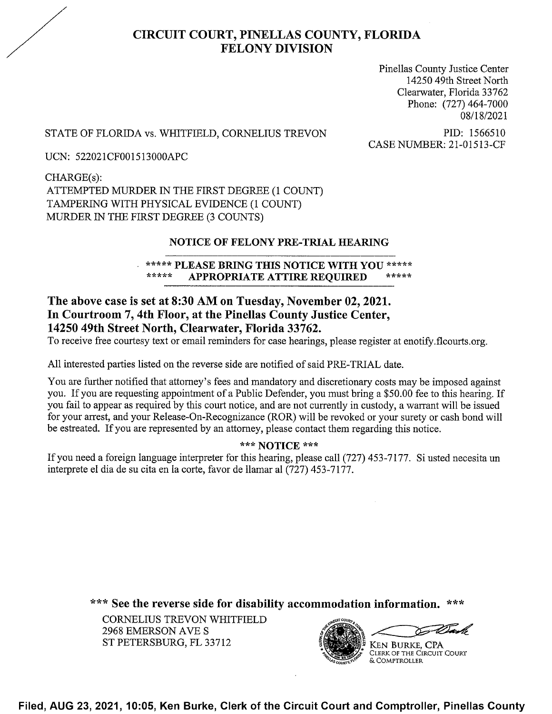# CIRCUIT COURT, PINELLAS COUNTY, FLORIDA FELONY DIVISION

Pinellas County Justice Center 14250 49th Street North Clearwater, Florida 33762 Phone: (727) 464-7000 08/18/2021

## STATE OF FLORIDA vs. WHITFIELD, CORNELIUS TREVON PID: 1566510<br>CASE NUMBER: 21-01513-CF

UCN: 522021CF001513000APC

CHARGE(s): ATTEMPTED MURDER IN THE FIRST DEGREE (1 COUNT) TAMPERING WITH PHYSICAL EVIDENCE (1 COUNT) MURDER IN THE FIRST DEGREE (3 COUNTS)

#### NOTICE OF FELONY PRE-TRIAL HEARING

#### \*\*\*\*\* PLEASE BRING THIS NOTICE WITH YOU \*\*\*\*\*<br>\*\*\*\*\* APPOPPLATE ATTIPE PEOUPED APPROPRIATE ATTIRE REQUIRED

### The above case is set at 8:30 AM on Tuesday, November 02, 2021. In Courtroom 7, 4th Floor, at the Pinellas County Justice Center, 14250 49th Street North, Clearwater, Florida 33762.

To receive free courtesy text or email reminders for case hearings, please register at enotify.flcourts.org.

A11 interested parties listed on the reverse side are notified of said PRE-TRIAL date.

You are further notified that attorney's fees and mandatory and discretionary costs may be imposed against you. If you are requesting appointment of a Public Defender, you must bring a \$50.00 fee to this hearing. If you fail to appear as required by this court notice, and are not currently in custody, a warrant will be issued for your arrest, and your Release-On-Recognizance (ROR) will be revoked or your surety or cash bond will be estreated. If you are represented by an attorney, please contact them regarding this notice.

#### \*\*\* NOTICE \*\*\*

If you need a foreign language interpreter for this hearing, please call (727) 453-7177. Si usted necesita un interprete el dia de su cita en 1a corte, favor de llamar a1 (727) 453-7177.

\*\*\* See the reverse side for disability accommodation information. \*\*\*

CORNELIUS TREVON WHITFIELD 2968 EMERSON AVE S ST PETERSBURG, FL 33712



Filed, AUG 23, 2021, 10:05, Ken Burke, Clerk of the Circuit Court and Comptroller, Pinellas County